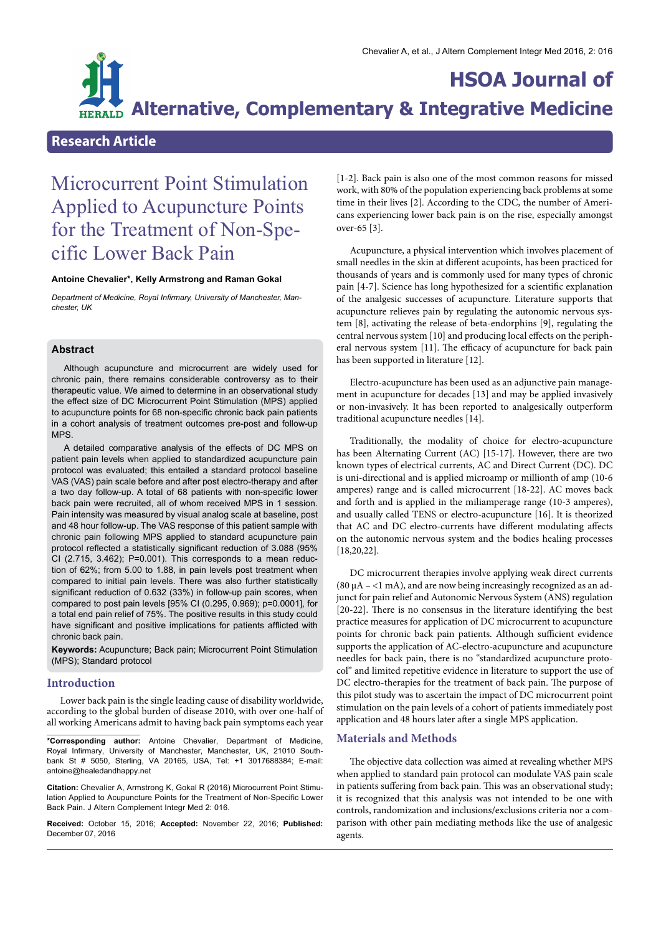

## **Research Article**

# Microcurrent Point Stimulation Applied to Acupuncture Points for the Treatment of Non-Spe- cific Lower Back Pain

#### **Antoine Chevalier\*, Kelly Armstrong and Raman Gokal**

*Department of Medicine, Royal Infrmary, University of Manchester, Manchester, UK*

## **Abstract**

Although acupuncture and microcurrent are widely used for chronic pain, there remains considerable controversy as to their therapeutic value. We aimed to determine in an observational study the effect size of DC Microcurrent Point Stimulation (MPS) applied to acupuncture points for 68 non-specifc chronic back pain patients in a cohort analysis of treatment outcomes pre-post and follow-up MPS.

A detailed comparative analysis of the effects of DC MPS on patient pain levels when applied to standardized acupuncture pain protocol was evaluated; this entailed a standard protocol baseline VAS (VAS) pain scale before and after post electro-therapy and after a two day follow-up. A total of 68 patients with non-specifc lower back pain were recruited, all of whom received MPS in 1 session. Pain intensity was measured by visual analog scale at baseline, post and 48 hour follow-up. The VAS response of this patient sample with chronic pain following MPS applied to standard acupuncture pain protocol reflected a statistically significant reduction of 3.088 (95%) CI (2.715, 3.462); P=0.001). This corresponds to a mean reduction of 62%; from 5.00 to 1.88, in pain levels post treatment when compared to initial pain levels. There was also further statistically significant reduction of 0.632 (33%) in follow-up pain scores, when compared to post pain levels [95% CI (0.295, 0.969); p=0.0001], for a total end pain relief of 75%. The positive results in this study could have signifcant and positive implications for patients afficted with chronic back pain.

**Keywords:** Acupuncture; Back pain; Microcurrent Point Stimulation (MPS); Standard protocol

#### **Introduction**

Lower back pain is the single leading cause of disability worldwide, according to the global burden of disease 2010, with over one-half of all working Americans admit to having back pain symptoms each year

**\*Corresponding author:** Antoine Chevalier, Department of Medicine, bank St # 5050, Sterling, VA 20165, USA, Tel: +1 3017688384; E-mail: antoine@healedandhappy.net

**Citation:** Chevalier A, Armstrong K, Gokal R (2016) Microcurrent Point Stimu- lation Applied to Acupuncture Points for the Treatment of Non-Specific Lower Back Pain. J Altern Complement Integr Med 2: 016.

**Received:** October 15, 2016; **Accepted:** November 22, 2016; **Published:** December 07, 2016

[1-2]. Back pain is also one of the most common reasons for missed work, with 80% of the population experiencing back problems at some time in their lives [2]. According to the CDC, the number of Americans experiencing lower back pain is on the rise, especially amongst over-65 [3].

Acupuncture, a physical intervention which involves placement of small needles in the skin at diferent acupoints, has been practiced for thousands of years and is commonly used for many types of chronic pain [4-7]. Science has long hypothesized for a scientifc explanation of the analgesic successes of acupuncture. Literature supports that acupuncture relieves pain by regulating the autonomic nervous system [8], activating the release of beta-endorphins [9], regulating the central nervous system [10] and producing local efects on the peripheral nervous system [11]. The efficacy of acupuncture for back pain has been supported in literature [12].

Electro-acupuncture has been used as an adjunctive pain management in acupuncture for decades [13] and may be applied invasively or non-invasively. It has been reported to analgesically outperform traditional acupuncture needles [14].

Traditionally, the modality of choice for electro-acupuncture has been Alternating Current (AC) [15-17]. However, there are two known types of electrical currents, AC and Direct Current (DC). DC is uni-directional and is applied microamp or millionth of amp (10-6 amperes) range and is called microcurrent [18-22]. AC moves back and forth and is applied in the miliamperage range (10-3 amperes), and usually called TENS or electro-acupuncture [16]. It is theorized that AC and DC electro-currents have diferent modulating afects on the autonomic nervous system and the bodies healing processes [18,20,22].

DC microcurrent therapies involve applying weak direct currents (80  $\mu$ A – <1 mA), and are now being increasingly recognized as an adjunct for pain relief and Autonomic Nervous System (ANS) regulation [20-22]. There is no consensus in the literature identifying the best practice measures for application of DC microcurrent to acupuncture points for chronic back pain patients. Although sufficient evidence supports the application of AC-electro-acupuncture and acupuncture needles for back pain, there is no "standardized acupuncture protocol" and limited repetitive evidence in literature to support the use of DC electro-therapies for the treatment of back pain. The purpose of this pilot study was to ascertain the impact of DC microcurrent point stimulation on the pain levels of a cohort of patients immediately post application and 48 hours later after a single MPS application.

## **Materials and Methods**

The objective data collection was aimed at revealing whether MPS when applied to standard pain protocol can modulate VAS pain scale in patients suffering from back pain. This was an observational study; it is recognized that this analysis was not intended to be one with controls, randomization and inclusions/exclusions criteria nor a comparison with other pain mediating methods like the use of analgesic agents.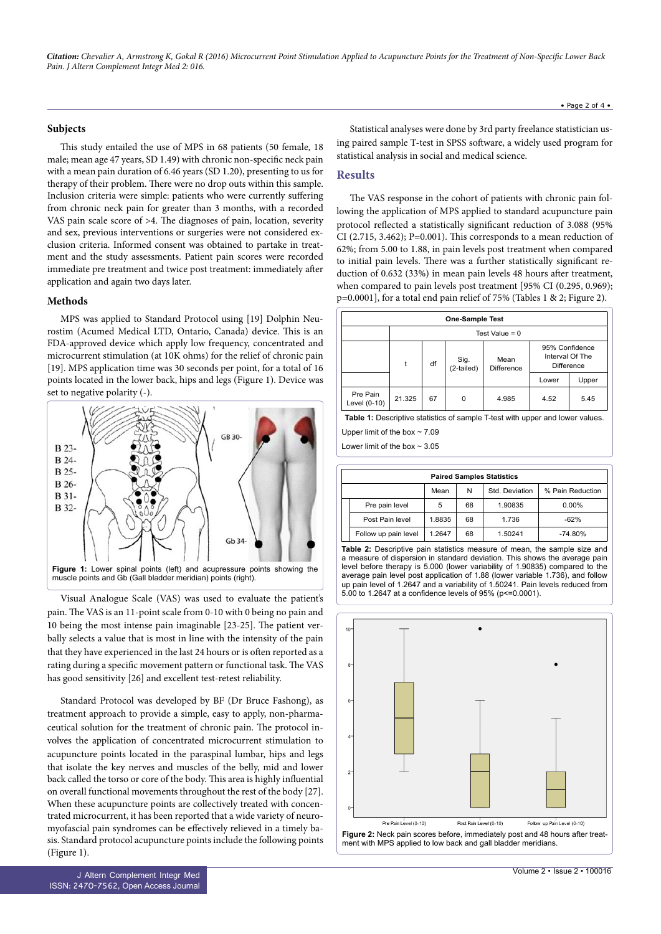*Citation: Chevalier A, Armstrong K, Gokal R (2016) Microcurrent Point Stimulation Applied to Acupuncture Points for the Treatment of Non-Speci*f*c Lower Back Pain. J Altern Complement Integr Med 2: 016.*

#### **Subjects**

This study entailed the use of MPS in 68 patients (50 female, 18 male; mean age 47 years, SD 1.49) with chronic non-specifc neck pain with a mean pain duration of 6.46 years (SD 1.20), presenting to us for therapy of their problem. There were no drop outs within this sample. Inclusion criteria were simple: patients who were currently sufering from chronic neck pain for greater than 3 months, with a recorded VAS pain scale score of  $>4$ . The diagnoses of pain, location, severity and sex, previous interventions or surgeries were not considered exclusion criteria. Informed consent was obtained to partake in treatment and the study assessments. Patient pain scores were recorded immediate pre treatment and twice post treatment: immediately afer application and again two days later.

#### **Methods**

MPS was applied to Standard Protocol using [19] Dolphin Neurostim (Acumed Medical LTD, Ontario, Canada) device. This is an FDA-approved device which apply low frequency, concentrated and microcurrent stimulation (at 10K ohms) for the relief of chronic pain [19]. MPS application time was 30 seconds per point, for a total of 16 points located in the lower back, hips and legs (Figure 1). Device was set to negative polarity (-).



Visual Analogue Scale (VAS) was used to evaluate the patient's pain. The VAS is an 11-point scale from 0-10 with 0 being no pain and 10 being the most intense pain imaginable [23-25]. The patient verbally selects a value that is most in line with the intensity of the pain that they have experienced in the last 24 hours or is often reported as a rating during a specific movement pattern or functional task. The VAS has good sensitivity [26] and excellent test-retest reliability.

Standard Protocol was developed by BF (Dr Bruce Fashong), as treatment approach to provide a simple, easy to apply, non-pharmaceutical solution for the treatment of chronic pain. The protocol involves the application of concentrated microcurrent stimulation to acupuncture points located in the paraspinal lumbar, hips and legs that isolate the key nerves and muscles of the belly, mid and lower back called the torso or core of the body. This area is highly influential on overall functional movements throughout the rest of the body [27]. When these acupuncture points are collectively treated with concentrated microcurrent, it has been reported that a wide variety of neuromyofascial pain syndromes can be efectively relieved in a timely basis. Standard protocol acupuncture points include the following points (Figure 1).

Statistical analyses were done by 3rd party freelance statistician using paired sample T-test in SPSS sofware, a widely used program for statistical analysis in social and medical science.

## **Results**

The VAS response in the cohort of patients with chronic pain following the application of MPS applied to standard acupuncture pain protocol refected a statistically signifcant reduction of 3.088 (95% CI (2.715, 3.462); P=0.001). This corresponds to a mean reduction of 62%; from 5.00 to 1.88, in pain levels post treatment when compared to initial pain levels. There was a further statistically significant reduction of 0.632 (33%) in mean pain levels 48 hours afer treatment, when compared to pain levels post treatment [95% CI (0.295, 0.969); p=0.0001], for a total end pain relief of 75% (Tables 1 & 2; Figure 2).

| <b>One-Sample Test</b>   |                  |    |                    |                           |                                                        |       |  |  |  |  |
|--------------------------|------------------|----|--------------------|---------------------------|--------------------------------------------------------|-------|--|--|--|--|
|                          | Test Value = $0$ |    |                    |                           |                                                        |       |  |  |  |  |
|                          | t                | df | Sig.<br>(2-tailed) | Mean<br><b>Difference</b> | 95% Confidence<br>Interval Of The<br><b>Difference</b> |       |  |  |  |  |
|                          |                  |    |                    |                           | Lower                                                  | Upper |  |  |  |  |
| Pre Pain<br>Level (0-10) | 21.325           | 67 | 0                  | 4.985                     | 4.52                                                   | 5.45  |  |  |  |  |

**Table 1:** Descriptive statistics of sample T-test with upper and lower values.

Upper limit of the box  $\sim$  7.09

Lower limit of the box  $\sim$  3.05

|  | <b>Paired Samples Statistics</b> |        |    |                |                  |  |  |  |  |  |
|--|----------------------------------|--------|----|----------------|------------------|--|--|--|--|--|
|  |                                  | Mean   | N  | Std. Deviation | % Pain Reduction |  |  |  |  |  |
|  | Pre pain level                   | 5      | 68 | 1.90835        | $0.00\%$         |  |  |  |  |  |
|  | Post Pain level                  | 1.8835 | 68 | 1.736          | $-62%$           |  |  |  |  |  |
|  | Follow up pain level             | 1.2647 | 68 | 1.50241        | $-74.80%$        |  |  |  |  |  |

**Table 2:** Descriptive pain statistics measure of mean, the sample size and a measure of dispersion in standard deviation. This shows the average pain level before therapy is 5.000 (lower variability of 1.90835) compared to the average pain level post application of 1.88 (lower variable 1.736), and follow up pain level of 1.2647 and a variability of 1.50241. Pain levels reduced from 5.00 to 1.2647 at a confdence levels of 95% (p<=0.0001).

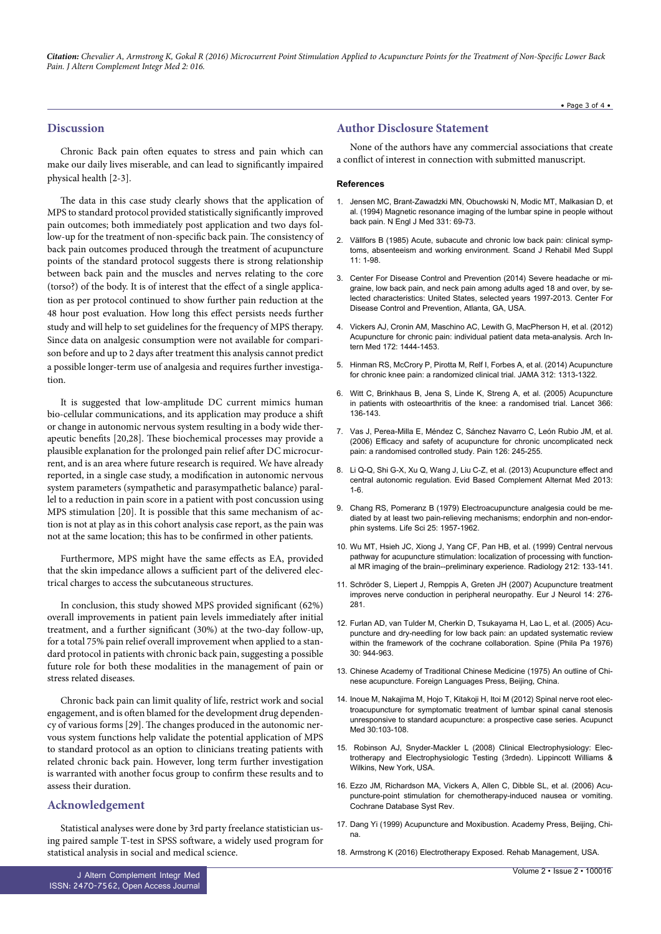*Citation: Chevalier A, Armstrong K, Gokal R (2016) Microcurrent Point Stimulation Applied to Acupuncture Points for the Treatment of Non-Speci*f*c Lower Back Pain. J Altern Complement Integr Med 2: 016.*

#### • Page 3 of 4 •

## **Discussion**

Chronic Back pain often equates to stress and pain which can make our daily lives miserable, and can lead to signifcantly impaired physical health [2-3].

The data in this case study clearly shows that the application of MPS to standard protocol provided statistically signifcantly improved pain outcomes; both immediately post application and two days follow-up for the treatment of non-specific back pain. The consistency of back pain outcomes produced through the treatment of acupuncture points of the standard protocol suggests there is strong relationship between back pain and the muscles and nerves relating to the core (torso?) of the body. It is of interest that the efect of a single application as per protocol continued to show further pain reduction at the 48 hour post evaluation. How long this efect persists needs further study and will help to set guidelines for the frequency of MPS therapy. Since data on analgesic consumption were not available for comparison before and up to 2 days afer treatment this analysis cannot predict a possible longer-term use of analgesia and requires further investigation.

It is suggested that low-amplitude DC current mimics human bio-cellular communications, and its application may produce a shif or change in autonomic nervous system resulting in a body wide therapeutic benefits [20,28]. These biochemical processes may provide a plausible explanation for the prolonged pain relief afer DC microcurrent, and is an area where future research is required. We have already reported, in a single case study, a modifcation in autonomic nervous system parameters (sympathetic and parasympathetic balance) parallel to a reduction in pain score in a patient with post concussion using MPS stimulation [20]. It is possible that this same mechanism of action is not at play as in this cohort analysis case report, as the pain was not at the same location; this has to be confrmed in other patients.

Furthermore, MPS might have the same efects as EA, provided that the skin impedance allows a sufficient part of the delivered electrical charges to access the subcutaneous structures.

In conclusion, this study showed MPS provided signifcant (62%) overall improvements in patient pain levels immediately afer initial treatment, and a further signifcant (30%) at the two-day follow-up, for a total 75% pain relief overall improvement when applied to a standard protocol in patients with chronic back pain, suggesting a possible future role for both these modalities in the management of pain or stress related diseases.

Chronic back pain can limit quality of life, restrict work and social engagement, and is often blamed for the development drug dependency of various forms [29]. The changes produced in the autonomic nervous system functions help validate the potential application of MPS to standard protocol as an option to clinicians treating patients with related chronic back pain. However, long term further investigation is warranted with another focus group to confrm these results and to assess their duration.

### **Acknowledgement**

Statistical analyses were done by 3rd party freelance statistician using paired sample T-test in SPSS sofware, a widely used program for statistical analysis in social and medical science.

None of the authors have any commercial associations that create a confict of interest in connection with submitted manuscript.

#### **References**

- 1. [Jensen MC, Brant-Zawadzki MN, Obuchowski N, Modic MT, Malkasian D, et](https://www.ncbi.nlm.nih.gov/pubmed/8208267) [al. \(1994\) Magnetic resonance imaging of the lumbar spine in people without](https://www.ncbi.nlm.nih.gov/pubmed/8208267) [back pain. N Engl J Med 331: 69-73.](https://www.ncbi.nlm.nih.gov/pubmed/8208267)
- 2. [Vällfors B \(1985\) Acute, subacute and chronic low back pain: clinical symp](https://www.ncbi.nlm.nih.gov/pubmed/3161177)[toms, absenteeism and working environment. Scand J Rehabil Med Suppl](https://www.ncbi.nlm.nih.gov/pubmed/3161177) [11: 1-98.](https://www.ncbi.nlm.nih.gov/pubmed/3161177)
- 3. [Center For Disease Control and Prevention \(2014\) Severe headache or mi](http://www.cdc.gov/nchs/data/hus/2014/046.pdf)[graine, low back pain, and neck pain among adults aged 18 and over, by se](http://www.cdc.gov/nchs/data/hus/2014/046.pdf)[lected characteristics: United States, selected years 1997-2013. Center For](http://www.cdc.gov/nchs/data/hus/2014/046.pdf) [Disease Control and Prevention, Atlanta, GA, USA.](http://www.cdc.gov/nchs/data/hus/2014/046.pdf)
- 4. [Vickers AJ, Cronin AM, Maschino AC, Lewith G, MacPherson H, et al. \(2012\)](https://www.ncbi.nlm.nih.gov/pubmed/22965186) [Acupuncture for chronic pain: individual patient data meta-analysis. Arch In](https://www.ncbi.nlm.nih.gov/pubmed/22965186)[tern Med 172: 1444-1453.](https://www.ncbi.nlm.nih.gov/pubmed/22965186)
- 5. [Hinman RS, McCrory P, Pirotta M, Relf I, Forbes A, et al. \(2014\) Acupuncture](https://www.ncbi.nlm.nih.gov/pubmed/25268438) [for chronic knee pain: a randomized clinical trial. JAMA 312: 1313-1322.](https://www.ncbi.nlm.nih.gov/pubmed/25268438)
- 6. [Witt C, Brinkhaus B, Jena S, Linde K, Streng A, et al. \(2005\) Acupuncture](https://www.ncbi.nlm.nih.gov/pubmed/16005336) [in patients with osteoarthritis of the knee: a randomised trial. Lancet 366:](https://www.ncbi.nlm.nih.gov/pubmed/16005336) [136-143.](https://www.ncbi.nlm.nih.gov/pubmed/16005336)
- 7. [Vas J, Perea-Milla E, Méndez C, Sánchez Navarro C, León Rubio JM, et al.](https://www.ncbi.nlm.nih.gov/pubmed/16934402) (2006) Efficacy and safety of acupuncture for chronic uncomplicated neck [pain: a randomised controlled study. Pain 126: 245-255.](https://www.ncbi.nlm.nih.gov/pubmed/16934402)
- 8. Li Q-Q, Shi G-X, Xu Q, Wang J, Liu C-Z, et al. (2013) Acupuncture effect and [central autonomic regulation. Evid Based Complement Alternat Med 2013:](https://www.ncbi.nlm.nih.gov/pmc/articles/PMC3677642/) [1-6.](https://www.ncbi.nlm.nih.gov/pmc/articles/PMC3677642/)
- 9. [Chang RS, Pomeranz B \(1979\) Electroacupuncture analgesia could be me](https://www.ncbi.nlm.nih.gov/pubmed/160969)[diated by at least two pain-relieving mechanisms; endorphin and non-endor](https://www.ncbi.nlm.nih.gov/pubmed/160969)[phin systems. Life Sci 25: 1957-1962.](https://www.ncbi.nlm.nih.gov/pubmed/160969)
- 10. [Wu MT, Hsieh JC, Xiong J, Yang CF, Pan HB, et al. \(1999\) Central nervous](https://www.ncbi.nlm.nih.gov/pubmed/10405732) [pathway for acupuncture stimulation: localization of processing with function](https://www.ncbi.nlm.nih.gov/pubmed/10405732)[al MR imaging of the brain--preliminary experience. Radiology 212: 133-141.](https://www.ncbi.nlm.nih.gov/pubmed/10405732)
- 11. [Schröder S, Liepert J, Remppis A, Greten JH \(2007\) Acupuncture treatment](https://www.ncbi.nlm.nih.gov/pubmed/17355547) [improves nerve conduction in peripheral neuropathy. Eur J Neurol 14: 276-](https://www.ncbi.nlm.nih.gov/pubmed/17355547)  $281.$
- 12. [Furlan AD, van Tulder M, Cherkin D, Tsukayama H, Lao L, et al. \(2005\) Acu](https://www.ncbi.nlm.nih.gov/pubmed/15834340)[puncture and dry-needling for low back pain: an updated systematic review](https://www.ncbi.nlm.nih.gov/pubmed/15834340) [within the framework of the cochrane collaboration. Spine \(Phila Pa 1976\)](https://www.ncbi.nlm.nih.gov/pubmed/15834340) [30: 944-963.](https://www.ncbi.nlm.nih.gov/pubmed/15834340)
- 13. [Chinese Academy of Traditional Chinese Medicine \(1975\) An outline of Chi](https://books.google.co.in/books?id=TQxtAAAAMAAJ&q=An+Outline+of+Chinese+Acupuncture&dq=An+Outline+of+Chinese+Acupuncture&hl=en&sa=X&redir_esc=y)[nese acupuncture. Foreign Languages Press, Beijing, China.](https://books.google.co.in/books?id=TQxtAAAAMAAJ&q=An+Outline+of+Chinese+Acupuncture&dq=An+Outline+of+Chinese+Acupuncture&hl=en&sa=X&redir_esc=y)
- 14. [Inoue M, Nakajima M, Hojo T, Kitakoji H, Itoi M \(2012\) Spinal nerve root elec](https://www.ncbi.nlm.nih.gov/pubmed/22534725)[troacupuncture for symptomatic treatment of lumbar spinal canal stenosis](https://www.ncbi.nlm.nih.gov/pubmed/22534725) [unresponsive to standard acupuncture: a prospective case series. Acupunct](https://www.ncbi.nlm.nih.gov/pubmed/22534725) [Med 30:103-108.](https://www.ncbi.nlm.nih.gov/pubmed/22534725)
- 15. [Robinson AJ, Snyder-Mackler L \(2008\) Clinical Electrophysiology: Elec](https://books.google.co.in/books?id=C2-9bcIjPBsC&dq=Clinical+Electrophysiology:+Electrotherapy+and+Electrophysiologic+Testing+(Third+ed.)&source=gbs_navlinks_s)[trotherapy and Electrophysiologic Testing \(3rdedn\). Lippincott Williams &](https://books.google.co.in/books?id=C2-9bcIjPBsC&dq=Clinical+Electrophysiology:+Electrotherapy+and+Electrophysiologic+Testing+(Third+ed.)&source=gbs_navlinks_s) [Wilkins, New York, USA.](https://books.google.co.in/books?id=C2-9bcIjPBsC&dq=Clinical+Electrophysiology:+Electrotherapy+and+Electrophysiologic+Testing+(Third+ed.)&source=gbs_navlinks_s)
- 16. [Ezzo JM, Richardson MA, Vickers A, Allen C, Dibble SL, et al. \(2006\) Acu](https://www.ncbi.nlm.nih.gov/pubmed/16625560)[puncture-point stimulation for chemotherapy-induced nausea or vomiting.](https://www.ncbi.nlm.nih.gov/pubmed/16625560) [Cochrane Database Syst Rev.](https://www.ncbi.nlm.nih.gov/pubmed/16625560)
- 17. Dang Yi (1999) Acupuncture and Moxibustion. Academy Press, Beijing, China.
- 18. [Armstrong K \(2016\) Electrotherapy Exposed. Rehab Management, USA.](http://www.rehabpub.com/2016/01/electrotherapy-exposed/)